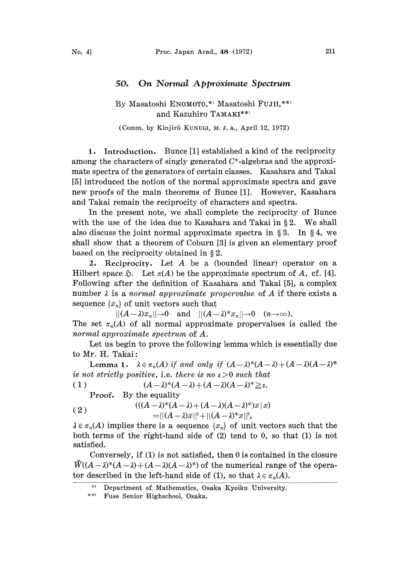## 50. On Normal Approximate Spectrum

## By Masatoshi ENOMOTO, \*) Masatoshi FUJII, \*\*) and Kazuhiro TAMAKI\*\*)

(Comm. by Kinjirô KUNUGI, M. J. A., April 12, 1972)

1. Introduction. Bunce [1] established a kind of the reciprocity among the characters of singly generated  $C^*$ -algebras and the approximate spectra of the generators of certain classes. Kasahara and Takai [5] introduced the notion of the normal approximate spectra and gave new proofs of the main theorems of Bunce [1]. However, Kasahara and Takai remain the reciprocity of characters and spectra.

In the present note, we shall complete the reciprocity of Bunce with the use of the idea due to Kasahara and Takai in  $\S 2$ . We shall also discuss the joint normal approximate spectra in  $\S 3$ . In  $\S 4$ , we shall show that a theorem of Coburn  $[3]$  is given an elementary proof based on the reciprocity obtained in  $\S 2$ .

2. Reciprocity. Let A be <sup>a</sup> (bounded linear) operator on <sup>a</sup> Hilbert space  $\tilde{\mathcal{D}}$ . Let  $\pi(A)$  be the approximate spectrum of A, cf. [4]. Following after the definition of Kasahara and Takai [5], a complex number  $\lambda$  is a normal approximate propervalue of A if there exists a sequence  $\{x_n\}$  of unit vectors such that

 $||(A-\lambda)x_n||\rightarrow 0$  and  $||(A-\lambda)^*x_n||\rightarrow 0$   $(n\rightarrow\infty).$ The set  $\pi_n(A)$  of all normal approximate propervalues is called the normal approximate spectrum of A.

Let us begin to prove the following lemma which is essentially due to Mr. H. Takai:

Lemma 1.  $\lambda \in \pi_n(A)$  if and only if  $(A-\lambda)^*(A-\lambda) + (A-\lambda)(A-\lambda)^*$ is not strictly positive, i.e. there is no  $\varepsilon > 0$  such that<br>(1)  $(A - \lambda)^*(A - \lambda) + (A - \lambda)(A - \lambda)^* \geq \varepsilon$ .

 $(A-\lambda)^*(A-\lambda) + (A-\lambda)(A-\lambda)^* \geq \varepsilon.$ 

Proof. By the equality

(2) 
$$
(((A - \lambda)^*(A - \lambda) + (A - \lambda)(A - \lambda)^*)x \mid x)
$$

$$
= ||(A - \lambda)x||^2 + ||(A - \lambda)^*x||^2,
$$

 $\lambda \in \pi_n(A)$  implies there is a sequence  $\{x_n\}$  of unit vectors such that the both terms of the right-hand side of  $(2)$  tend to 0, so that  $(1)$  is not satisfied.

Conversely, if  $(1)$  is not satisfied, then 0 is contained in the closure  $W((A-\lambda)^*(A-\lambda) + (A-\lambda)(A-\lambda)^*)$  of the numerical range of the operator described in the left-hand side of (1), so that  $\lambda \in \pi_n(A)$ .

Department of Mathematics, Osaka Kyoiku University.

<sup>\*\*)</sup> Fuse Senior Highschool, Osaka.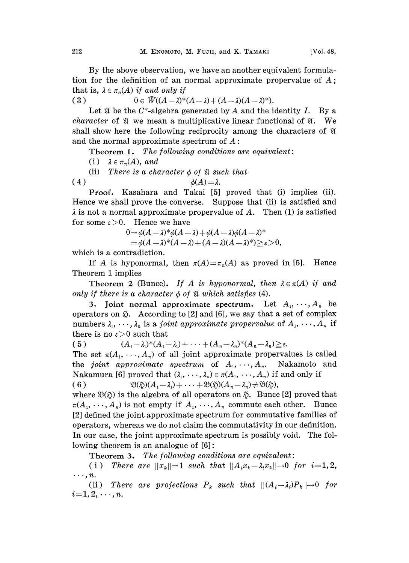By the above observation, we have an another equivalent formulation for the definition of an normal approximate propervalue of  $A$ ; that is,  $\lambda \in \pi_n(A)$  if and only if

( 3 ) 0 e  $\bar{W}((A - \lambda)^*(A - \lambda) + (A - \lambda)(A - \lambda)^*)$ .

Let  $\mathfrak A$  be the C\*-algebra generated by A and the identity I. By a *character* of  $\mathfrak X$  we mean a multiplicative linear functional of  $\mathfrak X$ . We shall show here the following reciprocity among the characters of  $\mathfrak A$ and the normal approximate spectrum of  $A$ :

Theorem 1. The following conditions are equivalent:

(i)  $\lambda \in \pi_n(A)$ , and

(ii) There is a character  $\phi$  of  $\mathfrak A$  such that

$$
\phi(A) = \lambda.
$$

Proof. Kasahara and Takai [5] proved that (i) implies (ii). Hence we shall prove the converse. Suppose that (ii) is satisfied and  $\lambda$  is not a normal approximate propervalue of A. Then (1) is satisfied for some  $\varepsilon > 0$ . Hence we have

$$
\begin{aligned} 0=&\phi(A-\lambda)^*\phi(A-\lambda)+\phi(A-\lambda)\phi(A-\lambda)^*\\ =&\phi(A-\lambda)^*(A-\lambda)+(A-\lambda)(A-\lambda)^*)\geqq\varepsilon>0, \end{aligned}
$$

which is a contradiction.

If A is hyponormal, then  $\pi(A)=\pi_n(A)$  as proved in [5]. Hence Theorem 1 implies

**Theorem 2** (Bunce). If A is hyponormal, then  $\lambda \in \pi(A)$  if and only if there is a character  $\phi$  of  $\mathfrak A$  which satisfies (4).

3. Joint normal approximate spectrum. Let  $A_1, \dots, A_n$  be operators on  $\tilde{\varphi}$ . According to [2] and [6], we say that a set of complex numbers  $\lambda_1, \dots, \lambda_n$  is a *joint approximate propervalue* of  $A_1, \dots, A_n$  if there is no  $\varepsilon > 0$  such that

( 5 )  $(A_1-\lambda_1)^*(A_1-\lambda_1)+\cdots+(A_n-\lambda_n)^*(A_n-\lambda_n)\geq\varepsilon.$ 

The set  $\pi(A_1, \dots, A_n)$  of all joint approximate propervalues is called the joint approximate spectrum of  $A_1, \dots, A_n$ . Nakamoto and Nakamura [6] proved that  $(\lambda_1, \dots, \lambda_n) \in \pi(A_1, \dots, A_n)$  if and only if ( 6 )  $\mathfrak{B}(\mathfrak{H})(A_1-\lambda_1) + \cdots + \mathfrak{B}(\mathfrak{H})(A_n-\lambda_n) \neq \mathfrak{B}(\mathfrak{H}),$ 

where  $\mathfrak{B}(\mathfrak{H})$  is the algebra of all operators on  $\mathfrak{H}$ . Bunce [2] proved that  $\pi(A_1, \dots, A_n)$  is not empty if  $A_1, \dots, A_n$  commute each other. Bunce [2] defined the joint approximate spectrum for commutative families of operators, whereas we do not claim the commutativity in our definition. In our case, the joint approximate spectrum is possibly void. The following theorem is an analogue of  $[6]$ :

Theorem 3. The following conditions are equivalent:

( i ) There are  $||x_k||=1$  such that  $||A_ix_k-\lambda_ix_k||\rightarrow 0$  for  $i=1,2,$ <br>..., n.

(ii) There are projections  $P_k$  such that  $||(A_i-\lambda_i)P_k||\rightarrow 0$  for  $i=1, 2, \ldots, n$ .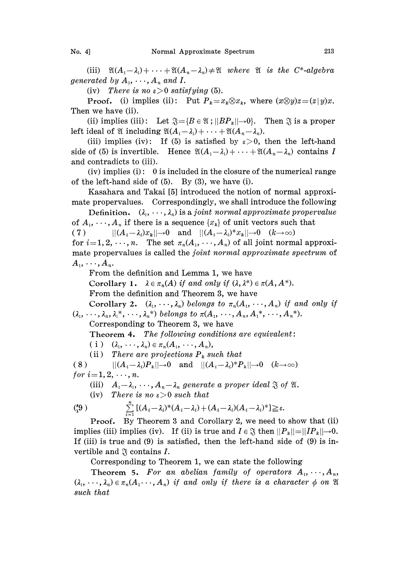(iii)  $\mathfrak{A}(A_1-\lambda_1)+\cdots+\mathfrak{A}(A_n-\lambda_n)\neq \mathfrak{A}$  where  $\mathfrak{A}$  is the C<sup>\*</sup>-algebra generated by  $A_1, \dots, A_n$  and I.

(iv) There is no  $\varepsilon > 0$  satisfying (5).

**Proof.** (i) implies (ii): Put  $P_k = x_k \otimes x_k$ , where  $(x \otimes y)z = (z|y)x$ . Then we have (ii).

(ii) implies (iii): Let  $\mathfrak{F} = \{B \in \mathfrak{A} : ||BP_k|| \to 0\}$ . Then  $\mathfrak{F}$  is a proper left ideal of  $\mathfrak A$  including  $\mathfrak A(A_1-\lambda_1)+\cdots+\mathfrak A(A_n-\lambda_n).$ 

(iii) implies (iv): If (5) is satisfied by  $\varepsilon > 0$ , then the left-hand side of (5) is invertible. Hence  $\mathfrak{A}(A_1-\lambda_1)+\cdots+\mathfrak{A}(A_n-\lambda_n)$  contains I and contradicts to (iii).

(iv) implies (i):  $\theta$  is included in the closure of the numerical range of the left-hand side of  $(5)$ . By  $(3)$ , we have  $(i)$ .

Kasahara and Takai [5] introduced the notion of normal approximate propervalues. Correspondingly, we shall introduce the following

Definition.  $(\lambda_1, \dots, \lambda_n)$  is a joint normal approximate propervalue of  $A_1, \dots, A_n$  if there is a sequence  $\{x_k\}$  of unit vectors such that<br>
(7)  $||(A_i - \lambda_i)x_k|| \to 0$  and  $||(A_i - \lambda_i)^*x_k|| \to 0$   $(k \to \infty)$  $||(A_i-\lambda_i)x_k||\to 0$  and  $||(A_i-\lambda_i)^*x_k||\to 0$   $(k\to\infty)$ 

for  $i=1, 2, \dots, n$ . The set  $\pi_n(A_1, \dots, A_n)$  of all joint normal approximate propervalues is called the *joint normal approximate spectrum* of  $A_1, \ldots, A_n.$ 

From the definition and Lemma 1, we have

Corollary 1.  $\lambda \in \pi_n(A)$  if and only if  $(\lambda, \lambda^*) \in \pi(A, A^*)$ . From the definition and Theorem 3, we have

Corollary 2.  $(\lambda_1, \dots, \lambda_n)$  belongs to  $\pi_n(A_1, \dots, A_n)$  if and only if  $(\lambda_1, \dots, \lambda_n, \lambda_1^*, \dots, \lambda_n^*)$  belongs to  $\pi(A_1, \dots, A_n, A_1^*, \dots, A_n^*)$ .

Corresponding to Theorem 3, we have

Theorem 4. The following conditions are equivalent:

( i )  $(\lambda_1, \dots, \lambda_n) \in \pi_n(A_1, \dots, A_n),$ 

(ii) There are projections  $P_k$  such that

(8)  $||(A_i-\lambda_i)P_k||\rightarrow 0$  and  $||(A_i-\lambda_i)^*P_k||\rightarrow 0$   $(k\rightarrow\infty)$ for  $i=1, 2, \ldots, n$ .

(iii)  $A_1 - \lambda_1, \ldots, A_n - \lambda_n$  generate a proper ideal  $\mathfrak{F}$  of  $\mathfrak{A}$ . (iv) There is no  $\varepsilon > 0$  such that

$$
\sum_{i=1}^n \left[ (A_i - \lambda_i)^* (A_i - \lambda_i) + (A_i - \lambda_i)(A_i - \lambda_i)^* \right] \geq \varepsilon.
$$

Proof. By Theorem 3 and Corollary 2, we need to show that (ii) implies (iii) implies (iv). If (ii) is true and  $I \in \mathcal{F}$  then  $||P_k||=||IP_k|| \rightarrow 0$ . If (iii) is true and (9) is satisfied, then the left-hand side of (9) is invertible and  $\mathfrak{F}$  contains I.

Corresponding to Theorem 1, we can state the following

Theorem 5. For an abelian family of operators  $A_1, \dots, A_n$ ,  $(\lambda_1, \dots, \lambda_n) \in \pi_n(A_1, \dots, A_n)$  if and only if there is a character  $\phi$  on  $\mathfrak A$ such that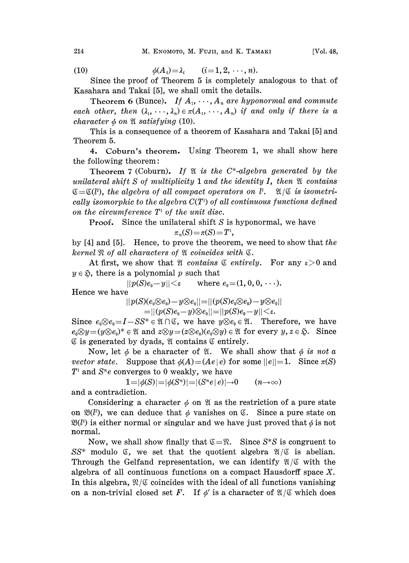(10)  $\phi(A_i) = \lambda_i$   $(i=1, 2, \dots, n).$ 

Since the proof of Theorem 5 is completely analogous to that of Kasahara and Takai [5], we shall omit the details.

Theorem 6 (Bunce). If  $A_1, \dots, A_n$  are hyponormal and commute each other, then  $(\lambda_1, \dots, \lambda_n) \in \pi(A_1, \dots, A_n)$  if and only if there is a character  $\phi$  on  $\mathfrak A$  satisfying (10).

This is a consequence of a theorem of Kasahara and Takai [5] and Theorem 5.

4. Coburn's theorem. Using Theorem 1, we shall show here the following theorem:

Theorem 7 (Coburn). If  $\mathfrak A$  is the C<sup>\*</sup>-algebra generated by the unilateral shift  $S$  of multiplicity 1 and the identity  $I$ , then  $\mathfrak A$  contains  $\mathfrak{C}=\mathfrak{C}(l^2)$ , the algebra of all compact operators on  $l^2$ .  $\mathfrak{A}/\mathfrak{C}$  is isometrically isomorphic to the algebra  $C(T<sup>1</sup>)$  of all continuous functions defined on the circumference  $T<sup>1</sup>$  of the unit disc.

**Proof.** Since the unilateral shift  $S$  is hyponormal, we have  $\pi_n(S) = \pi(S) = T^1$ ,

by [4] and [5]. Hence, to prove the theorem, we need to show that the kernel  $\Re$  of all characters of  $\Im$  coincides with  $\Im$ .

At first, we show that  $\mathfrak A$  contains  $\mathfrak C$  entirely. For any  $\varepsilon > 0$  and  $y \in \mathfrak{D}$ , there is a polynomial p such that

 $||p(S)e_0 - y|| < \varepsilon$  where  $e_0 = (1, 0, 0, \dots).$ Hence we have

$$
|p(S)(e_0 \otimes e_0) - y \otimes e_0|| = ||(p(S)e_0 \otimes e_0) - y \otimes e_0||
$$
  
= 
$$
||(p(S)e_0 - y) \otimes e_0|| = ||p(S)e_0 - y|| < \varepsilon.
$$

Since  $e_0 \otimes e_0 = I - SS^* \in \mathfrak{A} \cap \mathfrak{C}$ , we have  $y \otimes e_0 \in \mathfrak{A}$ . Therefore, we have  $e_0\otimes y=(y\otimes e_0)^*\in\mathfrak{A}$  and  $z\otimes y=(z\otimes e_0)(e_0\otimes y)\in\mathfrak{A}$  for every  $y, z\in\mathfrak{A}$ . Since  $\mathfrak C$  is generated by dyads,  $\mathfrak A$  contains  $\mathfrak C$  entirely.

Now, let  $\phi$  be a character of  $\mathfrak{A}$ . We shall show that  $\phi$  is not a vector state. Suppose that  $\phi(A) = (Ae|e)$  for some  $||e|| = 1$ . Since  $\pi(S)$  $T^1$  and  $S^n$ e converges to 0 weakly, we have

 $1 = |\phi(S)| = |\phi(S^n)| = |(S^n e | e)| \rightarrow 0$   $(n \rightarrow \infty)$ and a contradiction.

Considering a character  $\phi$  on  $\mathfrak A$  as the restriction of a pure state on  $\mathfrak{B}(l^2)$ , we can deduce that  $\phi$  vanishes on  $\mathfrak{C}$ . Since a pure state on  $\mathfrak{B}(l^2)$  is either normal or singular and we have just proved that  $\phi$  is not normal.

Now, we shall show finally that  $\mathfrak{C} = \mathfrak{R}$ . Since S<sup>\*</sup>S is congruent to Now, we shall show finally that  $\mathfrak{C} = \mathfrak{N}$ . Since  $S^*S$  is congruent to  $SS^*$  modulo  $\mathfrak{C}$ , we set that the quotient algebra  $\mathfrak{A}/\mathfrak{C}$  is abelian. SS<sup>\*</sup> modulo  $\Im$ , we set that the quotient algebra  $\mathfrak{A}/\mathfrak{C}$  is abelian.<br>Through the Gelfand representation, we can identify  $\mathfrak{A}/\mathfrak{C}$  with the algebra of all continuous functions on a compact Hausdorff space X. In this algebra,  $\mathcal{R}/\mathcal{C}$  coincides with the ideal of all functions vanishing In this algebra,  $\mathcal{R}/\mathfrak{C}$  coincides with the ideal of all functions vanishing<br>on a non-trivial closed set F. If  $\phi'$  is a character of  $\mathcal{X}/\mathfrak{C}$  which does